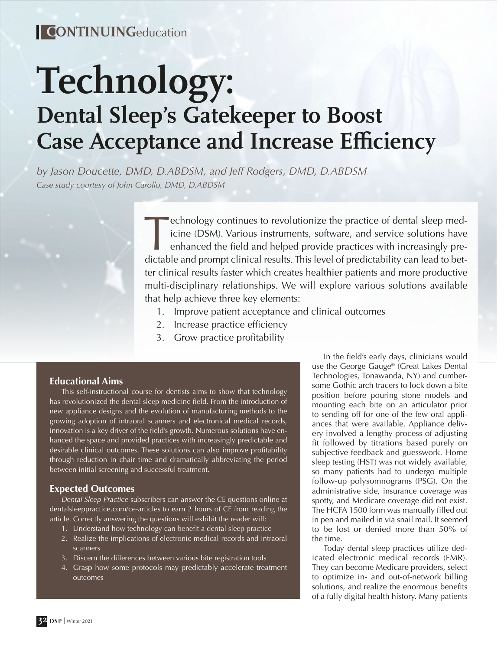# **Technology: Dental Sleep's Gatekeeper to Boost Case Acceptance and Increase Efficiency**

*by Jason Doucette, DMD, D.ABDSM, and Jeff Rodgers, DMD, D.ABDSM Case study courtesy of John Carollo, DMD, D.ABDSM*

> Technology continues to revolutionize the practice of dental sleep med-<br>icine (DSM). Various instruments, software, and service solutions have<br>enhanced the field and helped provide practices with increasingly pre-<br>dictable icine (DSM). Various instruments, software, and service solutions have enhanced the field and helped provide practices with increasingly predictable and prompt clinical results. This level of predictability can lead to better clinical results faster which creates healthier patients and more productive multi-disciplinary relationships. We will explore various solutions available that help achieve three key elements:

- 1. Improve patient acceptance and clinical outcomes
- 2. Increase practice efficiency
- 3. Grow practice profitability

### **Educational Aims**

This self-instructional course for dentists aims to show that technology has revolutionized the dental sleep medicine field. From the introduction of new appliance designs and the evolution of manufacturing methods to the growing adoption of intraoral scanners and electronical medical records, innovation is a key driver of the field's growth. Numerous solutions have enhanced the space and provided practices with increasingly predictable and desirable clinical outcomes. These solutions can also improve profitability through reduction in chair time and dramatically abbreviating the period between initial screening and successful treatment.

### **Expected Outcomes**

*Dental Sleep Practice* subscribers can answer the CE questions online at dentalsleeppractice.com/ce-articles to earn 2 hours of CE from reading the article. Correctly answering the questions will exhibit the reader will:

- 1. Understand how technology can benefit a dental sleep practice
- 2. Realize the implications of electronic medical records and intraoral scanners
- 3. Discern the differences between various bite registration tools
- 4. Grasp how some protocols may predictably accelerate treatment outcomes

In the field's early days, clinicians would use the George Gauge® (Great Lakes Dental Technologies, Tonawanda, NY) and cumbersome Gothic arch tracers to lock down a bite position before pouring stone models and mounting each bite on an articulator prior to sending off for one of the few oral appliances that were available. Appliance delivery involved a lengthy process of adjusting fit followed by titrations based purely on subjective feedback and guesswork. Home sleep testing (HST) was not widely available, so many patients had to undergo multiple follow-up polysomnograms (PSG). On the administrative side, insurance coverage was spotty, and Medicare coverage did not exist. The HCFA 1500 form was manually filled out in pen and mailed in via snail mail. It seemed to be lost or denied more than 50% of the time.

Today dental sleep practices utilize dedicated electronic medical records (EMR). They can become Medicare providers, select to optimize in- and out-of-network billing solutions, and realize the enormous benefits of a fully digital health history. Many patients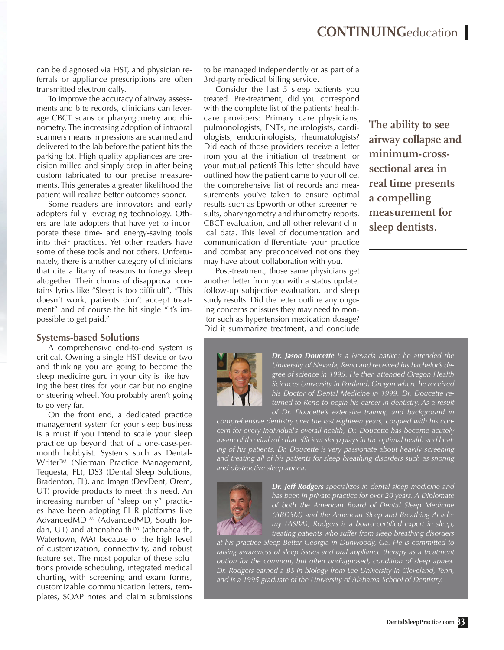can be diagnosed via HST, and physician referrals or appliance prescriptions are often transmitted electronically.

To improve the accuracy of airway assessments and bite records, clinicians can leverage CBCT scans or pharyngometry and rhinometry. The increasing adoption of intraoral scanners means impressions are scanned and delivered to the lab before the patient hits the parking lot. High quality appliances are precision milled and simply drop in after being custom fabricated to our precise measurements. This generates a greater likelihood the patient will realize better outcomes sooner.

Some readers are innovators and early adopters fully leveraging technology. Others are late adopters that have yet to incorporate these time- and energy-saving tools into their practices. Yet other readers have some of these tools and not others. Unfortunately, there is another category of clinicians that cite a litany of reasons to forego sleep altogether. Their chorus of disapproval contains lyrics like "Sleep is too difficult", "This doesn't work, patients don't accept treatment" and of course the hit single "It's impossible to get paid."

#### **Systems-based Solutions**

A comprehensive end-to-end system is critical. Owning a single HST device or two and thinking you are going to become the sleep medicine guru in your city is like having the best tires for your car but no engine or steering wheel. You probably aren't going to go very far.

On the front end, a dedicated practice management system for your sleep business is a must if you intend to scale your sleep practice up beyond that of a one-case-permonth hobbyist. Systems such as Dental-Writer<sup>™</sup> (Nierman Practice Management, Tequesta, FL), DS3 (Dental Sleep Solutions, Bradenton, FL), and Imagn (DevDent, Orem, UT) provide products to meet this need. An increasing number of "sleep only" practices have been adopting EHR platforms like AdvancedMD™ (AdvancedMD, South Jordan, UT) and athenahealth™ (athenahealth, Watertown, MA) because of the high level of customization, connectivity, and robust feature set. The most popular of these solutions provide scheduling, integrated medical charting with screening and exam forms, customizable communication letters, templates, SOAP notes and claim submissions

to be managed independently or as part of a 3rd-party medical billing service.

Consider the last 5 sleep patients you treated. Pre-treatment, did you correspond with the complete list of the patients' healthcare providers: Primary care physicians, pulmonologists, ENTs, neurologists, cardiologists, endocrinologists, rheumatologists? Did each of those providers receive a letter from you at the initiation of treatment for your mutual patient? This letter should have outlined how the patient came to your office, the comprehensive list of records and measurements you've taken to ensure optimal results such as Epworth or other screener results, pharyngometry and rhinometry reports, CBCT evaluation, and all other relevant clinical data. This level of documentation and communication differentiate your practice and combat any preconceived notions they may have about collaboration with you.

Post-treatment, those same physicians get another letter from you with a status update, follow-up subjective evaluation, and sleep study results. Did the letter outline any ongoing concerns or issues they may need to monitor such as hypertension medication dosage? Did it summarize treatment, and conclude **The ability to see airway collapse and minimum-crosssectional area in real time presents a compelling measurement for sleep dentists.**



*Dr. Jason Doucette is a Nevada native; he attended the University of Nevada, Reno and received his bachelor's degree of science in 1995. He then attended Oregon Health Sciences University in Portland, Oregon where he received his Doctor of Dental Medicine in 1999. Dr. Doucette returned to Reno to begin his career in dentistry. As a result of Dr. Doucette's extensive training and background in* 

*comprehensive dentistry over the last eighteen years, coupled with his concern for every individual's overall health, Dr. Doucette has become acutely aware of the vital role that efficient sleep plays in the optimal health and healing of his patients. Dr. Doucette is very passionate about heavily screening and treating all of his patients for sleep breathing disorders such as snoring and obstructive sleep apnea.* 



*Dr. Jeff Rodgers specializes in dental sleep medicine and has been in private practice for over 20 years. A Diplomate of both the American Board of Dental Sleep Medicine (ABDSM) and the American Sleep and Breathing Academy (ASBA), Rodgers is a board-certified expert in sleep, treating patients who suffer from sleep breathing disorders* 

*at his practice Sleep Better Georgia in Dunwoody, Ga. He is committed to*  raising awareness of sleep issues and oral appliance therapy as a treatment *option for the common, but often undiagnosed, condition of sleep apnea. Dr. Rodgers earned a BS in biology from Lee University in Cleveland, Tenn, and is a 1995 graduate of the University of Alabama School of Dentistry.*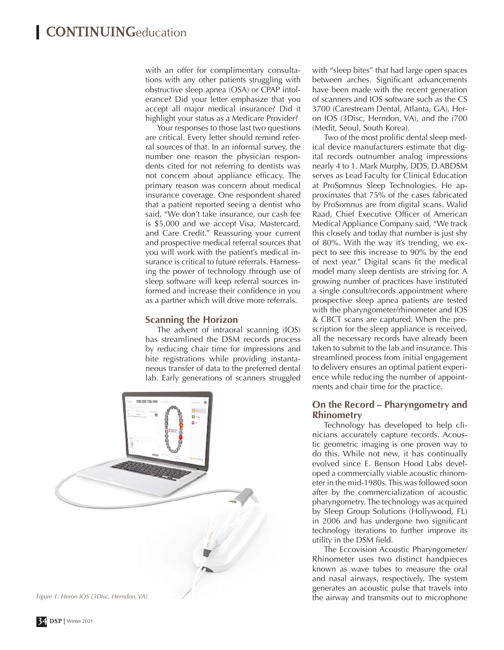with an offer for complimentary consultations with any other patients struggling with obstructive sleep apnea (OSA) or CPAP intolerance? Did your letter emphasize that you accept all major medical insurance? Did it highlight your status as a Medicare Provider?

Your responses to those last two questions are critical. Every letter should remind referral sources of that. In an informal survey, the number one reason the physician respondents cited for not referring to dentists was not concern about appliance efficacy. The primary reason was concern about medical insurance coverage. One respondent shared that a patient reported seeing a dentist who said, "We don't take insurance, our cash fee is \$5,000 and we accept Visa, Mastercard, and Care Credit." Reassuring your current and prospective medical referral sources that you will work with the patient's medical insurance is critical to future referrals. Harnessing the power of technology through use of sleep software will keep referral sources informed and increase their confidence in you as a partner which will drive more referrals.

### **Scanning the Horizon**

The advent of intraoral scanning (IOS) has streamlined the DSM records process by reducing chair time for impressions and bite registrations while providing instantaneous transfer of data to the preferred dental lab. Early generations of scanners struggled



with "sleep bites" that had large open spaces between arches. Significant advancements have been made with the recent generation of scanners and IOS software such as the CS 3700 (Carestream Dental, Atlanta, GA), Heron IOS (3Disc, Herndon, VA), and the i700 (Medit, Seoul, South Korea).

Two of the most prolific dental sleep medical device manufacturers estimate that digital records outnumber analog impressions nearly 4 to 1. Mark Murphy, DDS, D.ABDSM serves as Lead Faculty for Clinical Education at ProSomnus Sleep Technologies. He approximates that 75% of the cases fabricated by ProSomnus are from digital scans. Walid Raad, Chief Executive Officer of American Medical Appliance Company said, "We track this closely and today that number is just shy of 80%. With the way it's trending, we expect to see this increase to 90% by the end of next year." Digital scans fit the medical model many sleep dentists are striving for. A growing number of practices have instituted a single consult/records appointment where prospective sleep apnea patients are tested with the pharyngometer/rhinometer and IOS & CBCT scans are captured. When the prescription for the sleep appliance is received, all the necessary records have already been taken to submit to the lab and insurance. This streamlined process from initial engagement to delivery ensures an optimal patient experience while reducing the number of appointments and chair time for the practice.

### **On the Record – Pharyngometry and Rhinometry**

Technology has developed to help clinicians accurately capture records. Acoustic geometric imaging is one proven way to do this. While not new, it has continually evolved since E. Benson Hood Labs developed a commercially viable acoustic rhinometer in the mid-1980s. This was followed soon after by the commercialization of acoustic pharyngometry. The technology was acquired by Sleep Group Solutions (Hollywood, FL) in 2006 and has undergone two significant technology iterations to further improve its utility in the DSM field.

The Eccovision Acoustic Pharyngometer/ Rhinometer uses two distinct handpieces known as wave tubes to measure the oral and nasal airways, respectively. The system generates an acoustic pulse that travels into Figure 1: Heron IOS (3Disc, Herndon, VA) **The airway and transmits out to microphone**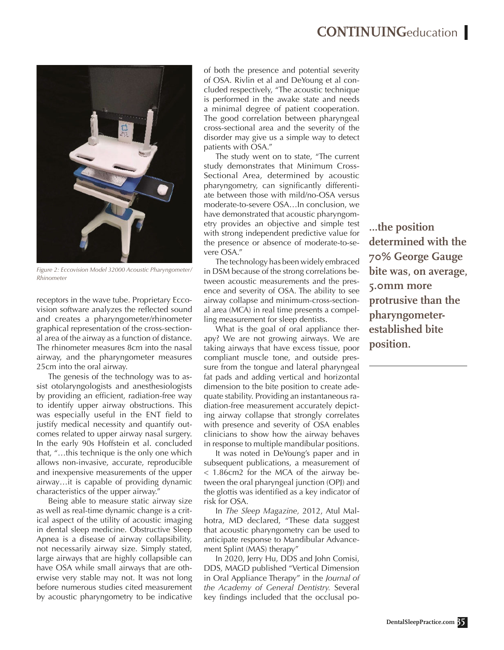

*Figure 2: Eccovision Model 32000 Acoustic Pharyngometer/ Rhinometer*

receptors in the wave tube. Proprietary Eccovision software analyzes the reflected sound and creates a pharyngometer/rhinometer graphical representation of the cross-sectional area of the airway as a function of distance. The rhinometer measures 8cm into the nasal airway, and the pharyngometer measures 25cm into the oral airway.

The genesis of the technology was to assist otolaryngologists and anesthesiologists by providing an efficient, radiation-free way to identify upper airway obstructions. This was especially useful in the ENT field to justify medical necessity and quantify outcomes related to upper airway nasal surgery. In the early 90s Hoffstein et al. concluded that, "…this technique is the only one which allows non-invasive, accurate, reproducible and inexpensive measurements of the upper airway…it is capable of providing dynamic characteristics of the upper airway."

Being able to measure static airway size as well as real-time dynamic change is a critical aspect of the utility of acoustic imaging in dental sleep medicine. Obstructive Sleep Apnea is a disease of airway collapsibility, not necessarily airway size. Simply stated, large airways that are highly collapsible can have OSA while small airways that are otherwise very stable may not. It was not long before numerous studies cited measurement by acoustic pharyngometry to be indicative

of both the presence and potential severity of OSA. Rivlin et al and DeYoung et al concluded respectively, "The acoustic technique is performed in the awake state and needs a minimal degree of patient cooperation. The good correlation between pharyngeal cross-sectional area and the severity of the disorder may give us a simple way to detect patients with OSA."

The study went on to state, "The current study demonstrates that Minimum Cross-Sectional Area, determined by acoustic pharyngometry, can significantly differentiate between those with mild/no-OSA versus moderate-to-severe OSA…In conclusion, we have demonstrated that acoustic pharyngometry provides an objective and simple test with strong independent predictive value for the presence or absence of moderate-to-severe OSA."

The technology has been widely embraced in DSM because of the strong correlations between acoustic measurements and the presence and severity of OSA. The ability to see airway collapse and minimum-cross-sectional area (MCA) in real time presents a compelling measurement for sleep dentists.

What is the goal of oral appliance therapy? We are not growing airways. We are taking airways that have excess tissue, poor compliant muscle tone, and outside pressure from the tongue and lateral pharyngeal fat pads and adding vertical and horizontal dimension to the bite position to create adequate stability. Providing an instantaneous radiation-free measurement accurately depicting airway collapse that strongly correlates with presence and severity of OSA enables clinicians to show how the airway behaves in response to multiple mandibular positions.

It was noted in DeYoung's paper and in subsequent publications, a measurement of < 1.86cm2 for the MCA of the airway between the oral pharyngeal junction (OPJ) and the glottis was identified as a key indicator of risk for OSA.

In *The Sleep Magazine,* 2012, Atul Malhotra, MD declared, "These data suggest that acoustic pharyngometry can be used to anticipate response to Mandibular Advancement Splint (MAS) therapy"

In 2020, Jerry Hu, DDS and John Comisi, DDS, MAGD published "Vertical Dimension in Oral Appliance Therapy" in the *Journal of the Academy of General Dentistry.* Several key findings included that the occlusal po**…the position determined with the 70% George Gauge bite was, on average, 5.0mm more protrusive than the pharyngometerestablished bite position.**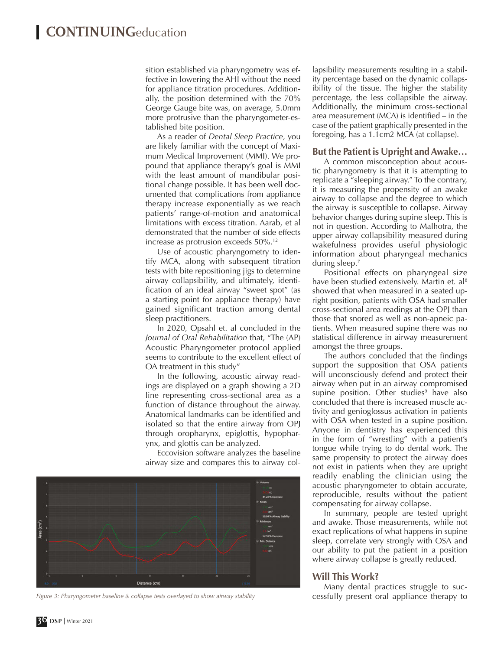sition established via pharyngometry was effective in lowering the AHI without the need for appliance titration procedures. Additionally, the position determined with the 70% George Gauge bite was, on average, 5.0mm more protrusive than the pharyngometer-established bite position.

As a reader of *Dental Sleep Practice,* you are likely familiar with the concept of Maximum Medical Improvement (MMI). We propound that appliance therapy's goal is MMI with the least amount of mandibular positional change possible. It has been well documented that complications from appliance therapy increase exponentially as we reach patients' range-of-motion and anatomical limitations with excess titration. Aarab, et al demonstrated that the number of side effects increase as protrusion exceeds 50%.12

Use of acoustic pharyngometry to identify MCA, along with subsequent titration tests with bite repositioning jigs to determine airway collapsibility, and ultimately, identification of an ideal airway "sweet spot" (as a starting point for appliance therapy) have gained significant traction among dental sleep practitioners.

In 2020, Opsahl et. al concluded in the *Journal of Oral Rehabilitation* that, "The (AP) Acoustic Pharyngometer protocol applied seems to contribute to the excellent effect of OA treatment in this study"

In the following, acoustic airway readings are displayed on a graph showing a 2D line representing cross-sectional area as a function of distance throughout the airway. Anatomical landmarks can be identified and isolated so that the entire airway from OPJ through oropharynx, epiglottis, hypopharynx, and glottis can be analyzed.

Eccovision software analyzes the baseline airway size and compares this to airway col-



*Figure 3: Pharyngometer baseline & collapse tests overlayed to show airway stability* **cessfully present oral appliance therapy to** 

lapsibility measurements resulting in a stability percentage based on the dynamic collapsibility of the tissue. The higher the stability percentage, the less collapsible the airway. Additionally, the minimum cross-sectional area measurement (MCA) is identified – in the case of the patient graphically presented in the foregoing, has a 1.1cm2 MCA (at collapse).

### **But the Patient is Upright and Awake…**

A common misconception about acoustic pharyngometry is that it is attempting to replicate a "sleeping airway." To the contrary, it is measuring the propensity of an awake airway to collapse and the degree to which the airway is susceptible to collapse. Airway behavior changes during supine sleep. This is not in question. According to Malhotra, the upper airway collapsibility measured during wakefulness provides useful physiologic information about pharyngeal mechanics during sleep.<sup>7</sup>

Positional effects on pharyngeal size have been studied extensively. Martin et. al<sup>8</sup> showed that when measured in a seated upright position, patients with OSA had smaller cross-sectional area readings at the OPJ than those that snored as well as non-apneic patients. When measured supine there was no statistical difference in airway measurement amongst the three groups.

The authors concluded that the findings support the supposition that OSA patients will unconsciously defend and protect their airway when put in an airway compromised supine position. Other studies<sup>9</sup> have also concluded that there is increased muscle activity and genioglossus activation in patients with OSA when tested in a supine position. Anyone in dentistry has experienced this in the form of "wrestling" with a patient's tongue while trying to do dental work. The same propensity to protect the airway does not exist in patients when they are upright readily enabling the clinician using the acoustic pharyngometer to obtain accurate, reproducible, results without the patient compensating for airway collapse.

In summary, people are tested upright and awake. Those measurements, while not exact replications of what happens in supine sleep, correlate very strongly with OSA and our ability to put the patient in a position where airway collapse is greatly reduced.

### **Will This Work?**

Many dental practices struggle to suc-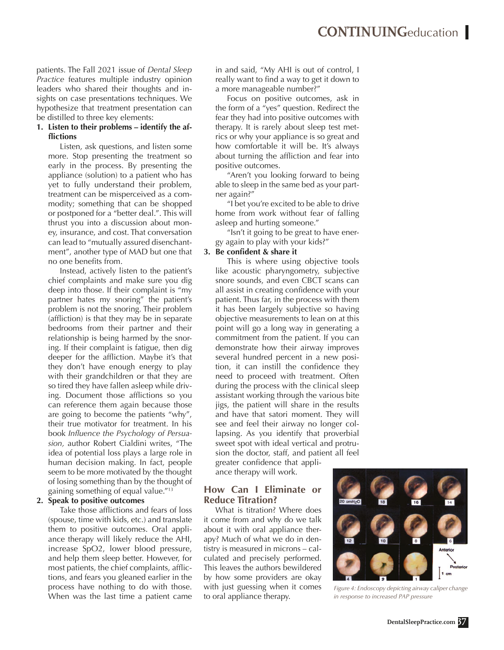patients. The Fall 2021 issue of *Dental Sleep Practice* features multiple industry opinion leaders who shared their thoughts and insights on case presentations techniques. We hypothesize that treatment presentation can be distilled to three key elements:

### **1. Listen to their problems – identify the afflictions**

Listen, ask questions, and listen some more. Stop presenting the treatment so early in the process. By presenting the appliance (solution) to a patient who has yet to fully understand their problem, treatment can be misperceived as a commodity; something that can be shopped or postponed for a "better deal.". This will thrust you into a discussion about money, insurance, and cost. That conversation can lead to "mutually assured disenchantment", another type of MAD but one that no one benefits from.

Instead, actively listen to the patient's chief complaints and make sure you dig deep into those. If their complaint is "my partner hates my snoring" the patient's problem is not the snoring. Their problem (affliction) is that they may be in separate bedrooms from their partner and their relationship is being harmed by the snoring. If their complaint is fatigue, then dig deeper for the affliction. Maybe it's that they don't have enough energy to play with their grandchildren or that they are so tired they have fallen asleep while driving. Document those afflictions so you can reference them again because those are going to become the patients "why", their true motivator for treatment. In his book *Influence the Psychology of Persuasion,* author Robert Cialdini writes, "The idea of potential loss plays a large role in human decision making. In fact, people seem to be more motivated by the thought of losing something than by the thought of gaining something of equal value."13

#### **2. Speak to positive outcomes**

Take those afflictions and fears of loss (spouse, time with kids, etc.) and translate them to positive outcomes. Oral appliance therapy will likely reduce the AHI, increase SpO2, lower blood pressure, and help them sleep better. However, for most patients, the chief complaints, afflictions, and fears you gleaned earlier in the process have nothing to do with those. When was the last time a patient came

in and said, "My AHI is out of control, I really want to find a way to get it down to a more manageable number?"

Focus on positive outcomes, ask in the form of a "yes" question. Redirect the fear they had into positive outcomes with therapy. It is rarely about sleep test metrics or why your appliance is so great and how comfortable it will be. It's always about turning the affliction and fear into positive outcomes.

"Aren't you looking forward to being able to sleep in the same bed as your partner again?"

"I bet you're excited to be able to drive home from work without fear of falling asleep and hurting someone."

"Isn't it going to be great to have energy again to play with your kids?"

### **3. Be confident & share it**

This is where using objective tools like acoustic pharyngometry, subjective snore sounds, and even CBCT scans can all assist in creating confidence with your patient. Thus far, in the process with them it has been largely subjective so having objective measurements to lean on at this point will go a long way in generating a commitment from the patient. If you can demonstrate how their airway improves several hundred percent in a new position, it can instill the confidence they need to proceed with treatment. Often during the process with the clinical sleep assistant working through the various bite jigs, the patient will share in the results and have that satori moment. They will see and feel their airway no longer collapsing. As you identify that proverbial sweet spot with ideal vertical and protrusion the doctor, staff, and patient all feel greater confidence that appli-

ance therapy will work.

### **How Can I Eliminate or Reduce Titration?**

What is titration? Where does it come from and why do we talk about it with oral appliance therapy? Much of what we do in dentistry is measured in microns – calculated and precisely performed. This leaves the authors bewildered by how some providers are okay with just guessing when it comes to oral appliance therapy.



*Figure 4: Endoscopy depicting airway caliper change in response to increased PAP pressure*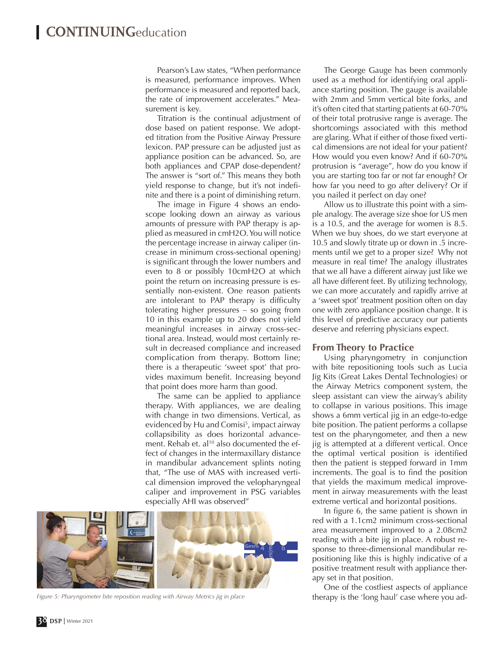Pearson's Law states, "When performance is measured, performance improves. When performance is measured and reported back, the rate of improvement accelerates." Measurement is key.

Titration is the continual adjustment of dose based on patient response. We adopted titration from the Positive Airway Pressure lexicon. PAP pressure can be adjusted just as appliance position can be advanced. So, are both appliances and CPAP dose-dependent? The answer is "sort of." This means they both yield response to change, but it's not indefinite and there is a point of diminishing return.

The image in Figure 4 shows an endoscope looking down an airway as various amounts of pressure with PAP therapy is applied as measured in cmH2O. You will notice the percentage increase in airway caliper (increase in minimum cross-sectional opening) is significant through the lower numbers and even to 8 or possibly 10cmH2O at which point the return on increasing pressure is essentially non-existent. One reason patients are intolerant to PAP therapy is difficulty tolerating higher pressures – so going from 10 in this example up to 20 does not yield meaningful increases in airway cross-sectional area. Instead, would most certainly result in decreased compliance and increased complication from therapy. Bottom line; there is a therapeutic 'sweet spot' that provides maximum benefit. Increasing beyond that point does more harm than good.

The same can be applied to appliance therapy. With appliances, we are dealing with change in two dimensions. Vertical, as evidenced by Hu and Comisi<sup>5</sup>, impact airway collapsibility as does horizontal advancement. Rehab et. al<sup>10</sup> also documented the effect of changes in the intermaxillary distance in mandibular advancement splints noting that, "The use of MAS with increased vertical dimension improved the velopharyngeal caliper and improvement in PSG variables especially AHI was observed"



*Figure 5: Pharyngometer bite reposition reading with Airway Metrics jig in place*

The George Gauge has been commonly used as a method for identifying oral appliance starting position. The gauge is available with 2mm and 5mm vertical bite forks, and it's often cited that starting patients at 60-70% of their total protrusive range is average. The shortcomings associated with this method are glaring. What if either of those fixed vertical dimensions are not ideal for your patient? How would you even know? And if 60-70% protrusion is "average", how do you know if you are starting too far or not far enough? Or how far you need to go after delivery? Or if you nailed it perfect on day one?

Allow us to illustrate this point with a simple analogy. The average size shoe for US men is a 10.5, and the average for women is 8.5. When we buy shoes, do we start everyone at 10.5 and slowly titrate up or down in .5 increments until we get to a proper size? Why not measure in real time? The analogy illustrates that we all have a different airway just like we all have different feet. By utilizing technology, we can more accurately and rapidly arrive at a 'sweet spot' treatment position often on day one with zero appliance position change. It is this level of predictive accuracy our patients deserve and referring physicians expect.

#### **From Theory to Practice**

Using pharyngometry in conjunction with bite repositioning tools such as Lucia Jig Kits (Great Lakes Dental Technologies) or the Airway Metrics component system, the sleep assistant can view the airway's ability to collapse in various positions. This image shows a 6mm vertical jig in an edge-to-edge bite position. The patient performs a collapse test on the pharyngometer, and then a new jig is attempted at a different vertical. Once the optimal vertical position is identified then the patient is stepped forward in 1mm increments. The goal is to find the position that yields the maximum medical improvement in airway measurements with the least extreme vertical and horizontal positions.

In figure 6, the same patient is shown in red with a 1.1cm2 minimum cross-sectional area measurement improved to a 2.08cm2 reading with a bite jig in place. A robust response to three-dimensional mandibular repositioning like this is highly indicative of a positive treatment result with appliance therapy set in that position.

One of the costliest aspects of appliance therapy is the 'long haul' case where you ad-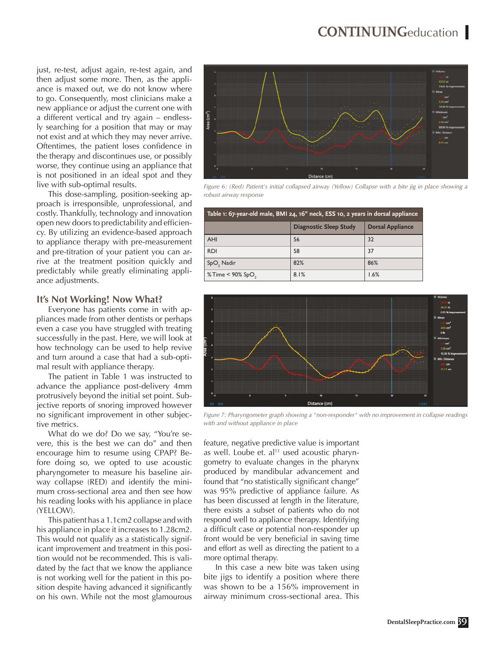just, re-test, adjust again, re-test again, and then adjust some more. Then, as the appliance is maxed out, we do not know where to go. Consequently, most clinicians make a new appliance or adjust the current one with a different vertical and try again – endlessly searching for a position that may or may not exist and at which they may never arrive. Oftentimes, the patient loses confidence in the therapy and discontinues use, or possibly worse, they continue using an appliance that is not positioned in an ideal spot and they live with sub-optimal results.

This dose-sampling, position-seeking approach is irresponsible, unprofessional, and costly. Thankfully, technology and innovation open new doors to predictability and efficiency. By utilizing an evidence-based approach to appliance therapy with pre-measurement and pre-titration of your patient you can arrive at the treatment position quickly and predictably while greatly eliminating appliance adjustments.

### **It's Not Working! Now What?**

Everyone has patients come in with appliances made from other dentists or perhaps even a case you have struggled with treating successfully in the past. Here, we will look at how technology can be used to help revive and turn around a case that had a sub-optimal result with appliance therapy.

The patient in Table 1 was instructed to advance the appliance post-delivery 4mm protrusively beyond the initial set point. Subjective reports of snoring improved however no significant improvement in other subjective metrics.

What do we do? Do we say, "You're severe, this is the best we can do" and then encourage him to resume using CPAP? Before doing so, we opted to use acoustic pharyngometer to measure his baseline airway collapse (RED) and identify the minimum cross-sectional area and then see how his reading looks with his appliance in place (YELLOW).

This patient has a 1.1cm2 collapse and with his appliance in place it increases to 1.28cm2. This would not qualify as a statistically significant improvement and treatment in this position would not be recommended. This is validated by the fact that we know the appliance is not working well for the patient in this position despite having advanced it significantly on his own. While not the most glamourous



*Figure 6: (Red) Patient's initial collapsed airway (Yellow) Collapse with a bite jig in place showing a robust airway response*

| Table 1: 67-year-old male, BMI 24, 16" neck, ESS 10, 2 years in dorsal appliance |                               |                         |  |
|----------------------------------------------------------------------------------|-------------------------------|-------------------------|--|
|                                                                                  | <b>Diagnostic Sleep Study</b> | <b>Dorsal Appliance</b> |  |
| <b>AHI</b>                                                                       | 56                            | 32                      |  |
| <b>RDI</b>                                                                       | 58                            | 37                      |  |
| SpO, Nadir                                                                       | 82%                           | 86%                     |  |
| $%$ Time < 90% SpO,                                                              | 8.1%                          | 1.6%                    |  |



*Figure 7: Pharyngometer graph showing a "non-responder" with no improvement in collapse readings with and without appliance in place*

feature, negative predictive value is important as well. Loube et. al<sup>11</sup> used acoustic pharyngometry to evaluate changes in the pharynx produced by mandibular advancement and found that "no statistically significant change" was 95% predictive of appliance failure. As has been discussed at length in the literature, there exists a subset of patients who do not respond well to appliance therapy. Identifying a difficult case or potential non-responder up front would be very beneficial in saving time and effort as well as directing the patient to a more optimal therapy.

In this case a new bite was taken using bite jigs to identify a position where there was shown to be a 156% improvement in airway minimum cross-sectional area. This